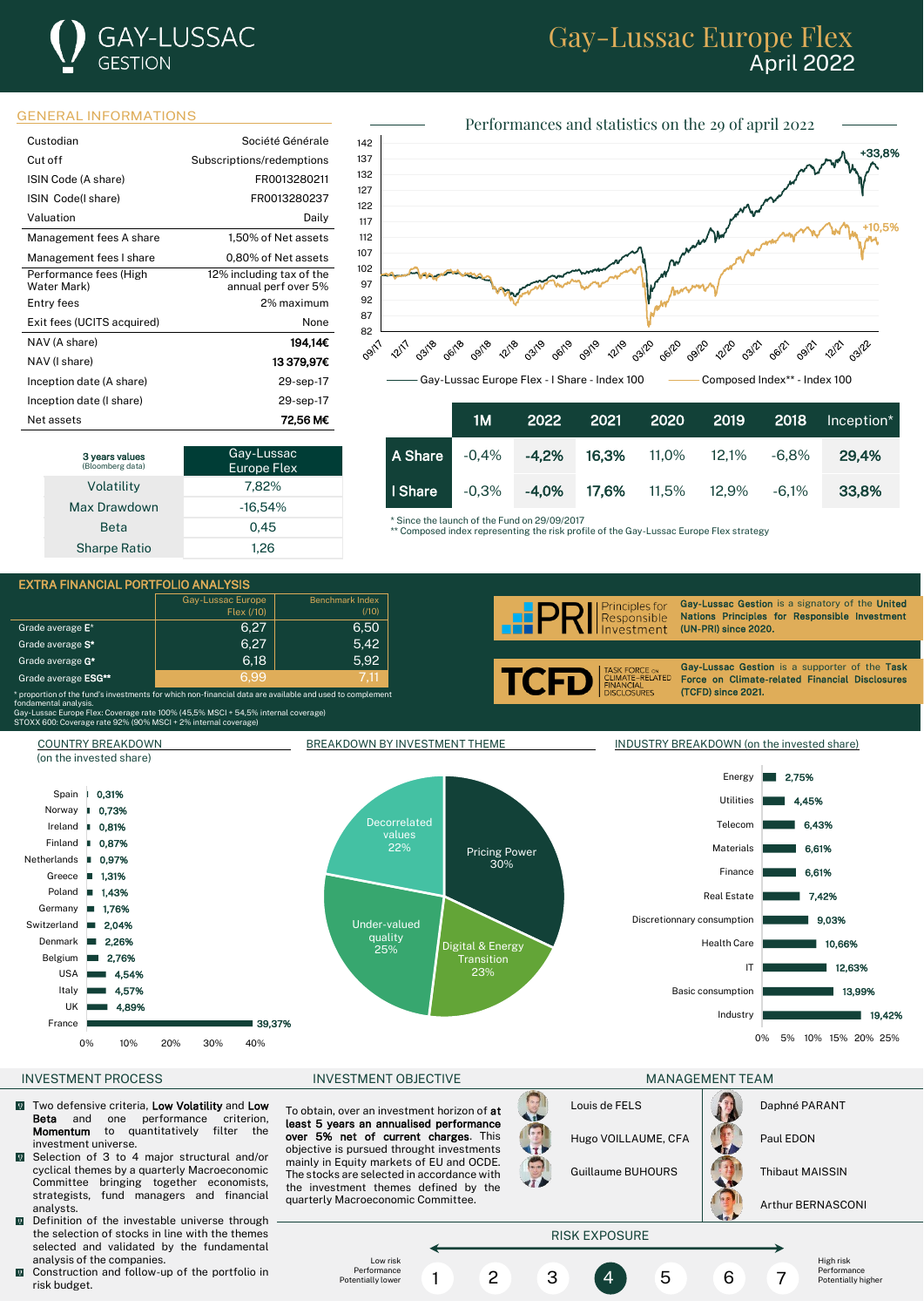# **GAY-LUSSAC** GESTION

## Gay-Lussac Europe Flex April 2022

### GENERAL INFORMATIONS

| Custodian                             | Société Générale                                |
|---------------------------------------|-------------------------------------------------|
| Cut off                               | Subscriptions/redemptions                       |
| ISIN Code (A share)                   | FR0013280211                                    |
| ISIN Code(I share)                    | FR0013280237                                    |
| Valuation                             | Daily                                           |
| Management fees A share               | 1,50% of Net assets                             |
| Management fees I share               | 0,80% of Net assets                             |
| Performance fees (High<br>Water Mark) | 12% including tax of the<br>annual perf over 5% |
| Entry fees                            | 2% maximum                                      |
| Exit fees (UCITS acquired)            | None                                            |
| NAV (A share)                         | 194.14€                                         |
| NAV (I share)                         | 13 379,97€                                      |
| Inception date (A share)              | 29-sep-17                                       |
| Inception date (I share)              | 29-sep-17                                       |
| Net assets                            | 72.56 M€                                        |

| 3 years values<br>(Bloomberg data) | Gay-Lussac<br><b>Europe Flex</b> |
|------------------------------------|----------------------------------|
| Volatility                         | 7,82%                            |
| Max Drawdown                       | $-16.54%$                        |
| <b>Beta</b>                        | 0.45                             |
| <b>Sharpe Ratio</b>                | 1.26                             |



|         | 1M       | 2022     | 2021               | 2020                     | 2019  | 2018     | Inception* |
|---------|----------|----------|--------------------|--------------------------|-------|----------|------------|
| A Share | -0.4%    | $-4.2%$  |                    | <b>16,3%</b> 11,0% 12,1% |       | $-6.8\%$ | 29.4%      |
| I Share | $-0.3\%$ | $-4.0\%$ | <b>17.6%</b> 11.5% |                          | 12,9% | -6.1%    | 33.8%      |

\* Since the launch of the Fund on 29/09/2017

\*\* Composed index representing the risk profile of the Gay-Lussac Europe Flex strategy

EXTRA FINANCIAL PORTFOLIO ANALYSIS Gay-Lussac Europe Benchmark Inde Gay-Lussac Gestion is a signatory of the United **Principles for** Flex (/10)  $(110)$ Responsible Nations Principles for Responsible Investment Grade average  $E^*$  6,27 6,50 (UN-PRI) since 2020. Investment Grade average  $S^*$  6,27  $\vert$  6,27  $\vert$  5,42 i Grade average  $G^*$  6,18  $\vert$  5,92 Gay-Lussac Gestion is a supporter of the Task **TCFD** FORCE ON<br>ATE-RELATED Grade average ESG\*\* Force on Climate-related Financial Disclosures INANCIAL<br>ISCLOSURES (TCFD) since 2021.  $^{\epsilon}$  proportion of the fund's investments for which non-financial data are available and us .<br>damental analysis.<br>'-Lussac Europe Flex: Cov топаателкасанауыs.<br>Gay-Lussac Europe Flex: Coverage rate 100% (45,5% MSCI + 54,5% internal coverage)<br>STOXX 600: Coverage rate 92% (90% MSCI + 2% internal coverage) STORY 6000125 THE 19976 (45,576 MSCI + 29 ACCES 2009) COUNTRY BREAKDOWN BREAKDOWN BY INVESTMENT THEME INDUSTRY BREAKDOWN (on the invested share) (on the invested share) Energy 2.75% 0,31% Spain 1 Utilities 4,45% Norway 0,73% Decorrelated Telecom 6,43% Ireland 0,81% h. Finland **I** 0,87% 22% Materials 6,61% Pricing Power Netherlands **II** 0,97% 30% 6,61% Finance Greece 1,31% Poland<sub>B</sub> 1,43% Real Estate 7,42% Germany **B** 1,76% Discretionnary consumption 9,03% Switzerland Under-valued 2,04% I. quality Denmark 2,26% Digital & Energy Health Care 10,66% 25% Belgium ш 2,76% Transition IT 12,63% USA 4,54% 23% Italy 4,57% Basic consumption 13,99% UK 4,89% Industry 19,42% France 39,37% 0% 5% 10% 15% 20% 25% 0% 10% 20% 30% 40% INVESTMENT PROCESS FOR THE RESERVE INVESTMENT OBJECTIVE THE MANAGEMENT TEAM AND MANAGEMENT TEAM

- Two defensive criteria, Low Volatility and Low<br>Beta and one performance criterion, **Beta** and one performance criterion,<br>**Momentum** to quantitatively filter the to quantitatively filter investment universe.
- $\overline{0}$ Selection of 3 to 4 major structural and/or cyclical themes by a quarterly Macroeconomic Committee bringing together economists, strategists, fund managers and financial analysts.
- Definition of the investable universe through the selection of stocks in line with the themes selected and validated by the fundamental analysis of the companies.
- $\overline{Q}$ Construction and follow-up of the portfolio in risk budget.

To obtain, over an investment horizon of at least 5 years an annualised performance over 5% net of current charges. This objective is pursued throught investments mainly in Equity markets of EU and OCDE. The stocks are selected in accordance with the investment themes defined by the

quarterly Macroeconomic Committee.



Guillaume BUHOURS | Thibaut MAISSIN

Arthur BERNASCONI